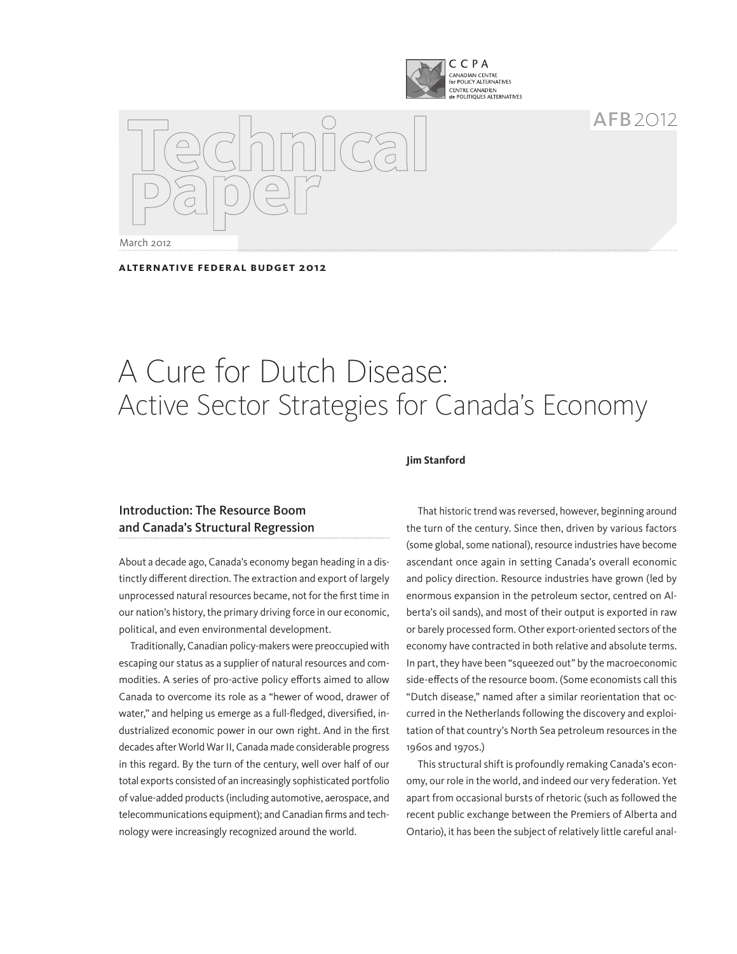

 $AFB$  2012

March 2012

**aLTERNATIVE FEDERAL BUDGET 2012**

# A Cure for Dutch Disease: Active Sector Strategies for Canada's Economy

## Introduction: The Resource Boom and Canada's Structural Regression

About a decade ago, Canada's economy began heading in a distinctly different direction. The extraction and export of largely unprocessed natural resources became, not for the first time in our nation's history, the primary driving force in our economic, political, and even environmental development.

Traditionally, Canadian policy-makers were preoccupied with escaping our status as a supplier of natural resources and commodities. A series of pro-active policy efforts aimed to allow Canada to overcome its role as a "hewer of wood, drawer of water," and helping us emerge as a full-fledged, diversified, industrialized economic power in our own right. And in the first decades after World War II, Canada made considerable progress in this regard. By the turn of the century, well over half of our total exports consisted of an increasingly sophisticated portfolio of value-added products (including automotive, aerospace, and telecommunications equipment); and Canadian firms and technology were increasingly recognized around the world.

#### **Jim Stanford**

That historic trend was reversed, however, beginning around the turn of the century. Since then, driven by various factors (some global, some national), resource industries have become ascendant once again in setting Canada's overall economic and policy direction. Resource industries have grown (led by enormous expansion in the petroleum sector, centred on Alberta's oil sands), and most of their output is exported in raw or barely processed form. Other export-oriented sectors of the economy have contracted in both relative and absolute terms. In part, they have been "squeezed out" by the macroeconomic side-effects of the resource boom. (Some economists call this "Dutch disease," named after a similar reorientation that occurred in the Netherlands following the discovery and exploitation of that country's North Sea petroleum resources in the 1960s and 1970s.)

This structural shift is profoundly remaking Canada's economy, our role in the world, and indeed our very federation. Yet apart from occasional bursts of rhetoric (such as followed the recent public exchange between the Premiers of Alberta and Ontario), it has been the subject of relatively little careful anal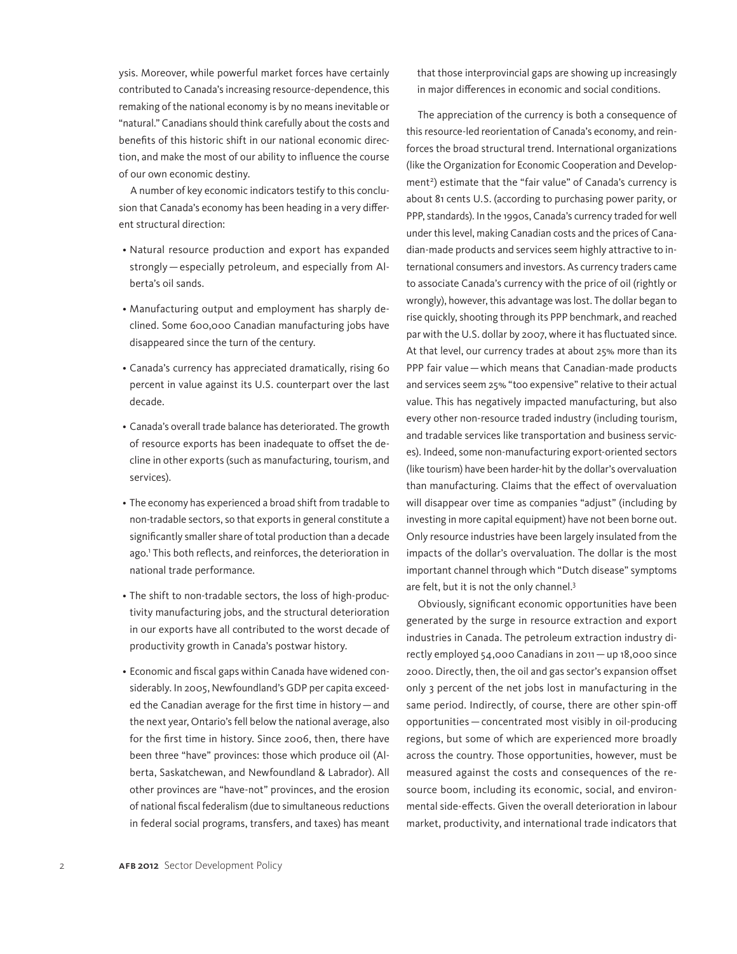ysis. Moreover, while powerful market forces have certainly contributed to Canada's increasing resource-dependence, this remaking of the national economy is by no means inevitable or "natural." Canadians should think carefully about the costs and benefits of this historic shift in our national economic direction, and make the most of our ability to influence the course of our own economic destiny.

A number of key economic indicators testify to this conclusion that Canada's economy has been heading in a very different structural direction:

- • Natural resource production and export has expanded strongly—especially petroleum, and especially from Alberta's oil sands.
- Manufacturing output and employment has sharply declined. Some 600,000 Canadian manufacturing jobs have disappeared since the turn of the century.
- Canada's currency has appreciated dramatically, rising 60 percent in value against its U.S. counterpart over the last decade.
- Canada's overall trade balance has deteriorated. The growth of resource exports has been inadequate to offset the decline in other exports (such as manufacturing, tourism, and services).
- The economy has experienced a broad shift from tradable to non-tradable sectors, so that exports in general constitute a significantly smaller share of total production than a decade ago.1 This both reflects, and reinforces, the deterioration in national trade performance.
- The shift to non-tradable sectors, the loss of high-productivity manufacturing jobs, and the structural deterioration in our exports have all contributed to the worst decade of productivity growth in Canada's postwar history.
- Economic and fiscal gaps within Canada have widened considerably. In 2005, Newfoundland's GDP per capita exceeded the Canadian average for the first time in history—and the next year, Ontario's fell below the national average, also for the first time in history. Since 2006, then, there have been three "have" provinces: those which produce oil (Alberta, Saskatchewan, and Newfoundland & Labrador). All other provinces are "have-not" provinces, and the erosion of national fiscal federalism (due to simultaneous reductions in federal social programs, transfers, and taxes) has meant

that those interprovincial gaps are showing up increasingly in major differences in economic and social conditions.

The appreciation of the currency is both a consequence of this resource-led reorientation of Canada's economy, and reinforces the broad structural trend. International organizations (like the Organization for Economic Cooperation and Development<sup>2</sup>) estimate that the "fair value" of Canada's currency is about 81 cents U.S. (according to purchasing power parity, or PPP, standards). In the 1990s, Canada's currency traded for well under this level, making Canadian costs and the prices of Canadian-made products and services seem highly attractive to international consumers and investors. As currency traders came to associate Canada's currency with the price of oil (rightly or wrongly), however, this advantage was lost. The dollar began to rise quickly, shooting through its PPP benchmark, and reached par with the U.S. dollar by 2007, where it has fluctuated since. At that level, our currency trades at about 25% more than its PPP fair value—which means that Canadian-made products and services seem 25% "too expensive" relative to their actual value. This has negatively impacted manufacturing, but also every other non-resource traded industry (including tourism, and tradable services like transportation and business services). Indeed, some non-manufacturing export-oriented sectors (like tourism) have been harder-hit by the dollar's overvaluation than manufacturing. Claims that the effect of overvaluation will disappear over time as companies "adjust" (including by investing in more capital equipment) have not been borne out. Only resource industries have been largely insulated from the impacts of the dollar's overvaluation. The dollar is the most important channel through which "Dutch disease" symptoms are felt, but it is not the only channel.<sup>3</sup>

Obviously, significant economic opportunities have been generated by the surge in resource extraction and export industries in Canada. The petroleum extraction industry directly employed 54,000 Canadians in 2011 — up 18,000 since 2000. Directly, then, the oil and gas sector's expansion offset only 3 percent of the net jobs lost in manufacturing in the same period. Indirectly, of course, there are other spin-off opportunities — concentrated most visibly in oil-producing regions, but some of which are experienced more broadly across the country. Those opportunities, however, must be measured against the costs and consequences of the resource boom, including its economic, social, and environmental side-effects. Given the overall deterioration in labour market, productivity, and international trade indicators that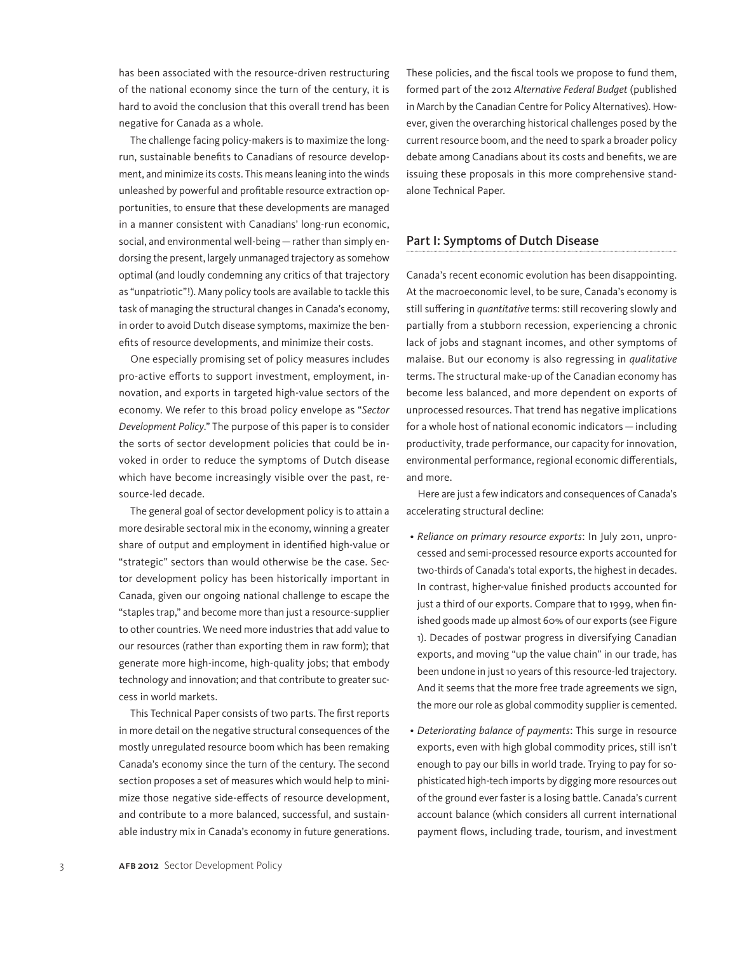has been associated with the resource-driven restructuring of the national economy since the turn of the century, it is hard to avoid the conclusion that this overall trend has been negative for Canada as a whole.

The challenge facing policy-makers is to maximize the longrun, sustainable benefits to Canadians of resource development, and minimize its costs. This means leaning into the winds unleashed by powerful and profitable resource extraction opportunities, to ensure that these developments are managed in a manner consistent with Canadians' long-run economic, social, and environmental well-being—rather than simply endorsing the present, largely unmanaged trajectory as somehow optimal (and loudly condemning any critics of that trajectory as "unpatriotic"!). Many policy tools are available to tackle this task of managing the structural changes in Canada's economy, in order to avoid Dutch disease symptoms, maximize the benefits of resource developments, and minimize their costs.

One especially promising set of policy measures includes pro-active efforts to support investment, employment, innovation, and exports in targeted high-value sectors of the economy. We refer to this broad policy envelope as "*Sector Development Policy*." The purpose of this paper is to consider the sorts of sector development policies that could be invoked in order to reduce the symptoms of Dutch disease which have become increasingly visible over the past, resource-led decade.

The general goal of sector development policy is to attain a more desirable sectoral mix in the economy, winning a greater share of output and employment in identified high-value or "strategic" sectors than would otherwise be the case. Sector development policy has been historically important in Canada, given our ongoing national challenge to escape the "staples trap," and become more than just a resource-supplier to other countries. We need more industries that add value to our resources (rather than exporting them in raw form); that generate more high-income, high-quality jobs; that embody technology and innovation; and that contribute to greater success in world markets.

This Technical Paper consists of two parts. The first reports in more detail on the negative structural consequences of the mostly unregulated resource boom which has been remaking Canada's economy since the turn of the century. The second section proposes a set of measures which would help to minimize those negative side-effects of resource development, and contribute to a more balanced, successful, and sustainable industry mix in Canada's economy in future generations.

These policies, and the fiscal tools we propose to fund them, formed part of the 2012 *Alternative Federal Budget* (published in March by the Canadian Centre for Policy Alternatives). However, given the overarching historical challenges posed by the current resource boom, and the need to spark a broader policy debate among Canadians about its costs and benefits, we are issuing these proposals in this more comprehensive standalone Technical Paper.

#### Part I: Symptoms of Dutch Disease

Canada's recent economic evolution has been disappointing. At the macroeconomic level, to be sure, Canada's economy is still suffering in *quantitative* terms: still recovering slowly and partially from a stubborn recession, experiencing a chronic lack of jobs and stagnant incomes, and other symptoms of malaise. But our economy is also regressing in *qualitative* terms. The structural make-up of the Canadian economy has become less balanced, and more dependent on exports of unprocessed resources. That trend has negative implications for a whole host of national economic indicators — including productivity, trade performance, our capacity for innovation, environmental performance, regional economic differentials, and more.

Here are just a few indicators and consequences of Canada's accelerating structural decline:

- • *Reliance on primary resource exports*: In July 2011, unprocessed and semi-processed resource exports accounted for two-thirds of Canada's total exports, the highest in decades. In contrast, higher-value finished products accounted for just a third of our exports. Compare that to 1999, when finished goods made up almost 60% of our exports (see Figure 1). Decades of postwar progress in diversifying Canadian exports, and moving "up the value chain" in our trade, has been undone in just 10 years of this resource-led trajectory. And it seems that the more free trade agreements we sign, the more our role as global commodity supplier is cemented.
- • *Deteriorating balance of payments*: This surge in resource exports, even with high global commodity prices, still isn't enough to pay our bills in world trade. Trying to pay for sophisticated high-tech imports by digging more resources out of the ground ever faster is a losing battle. Canada's current account balance (which considers all current international payment flows, including trade, tourism, and investment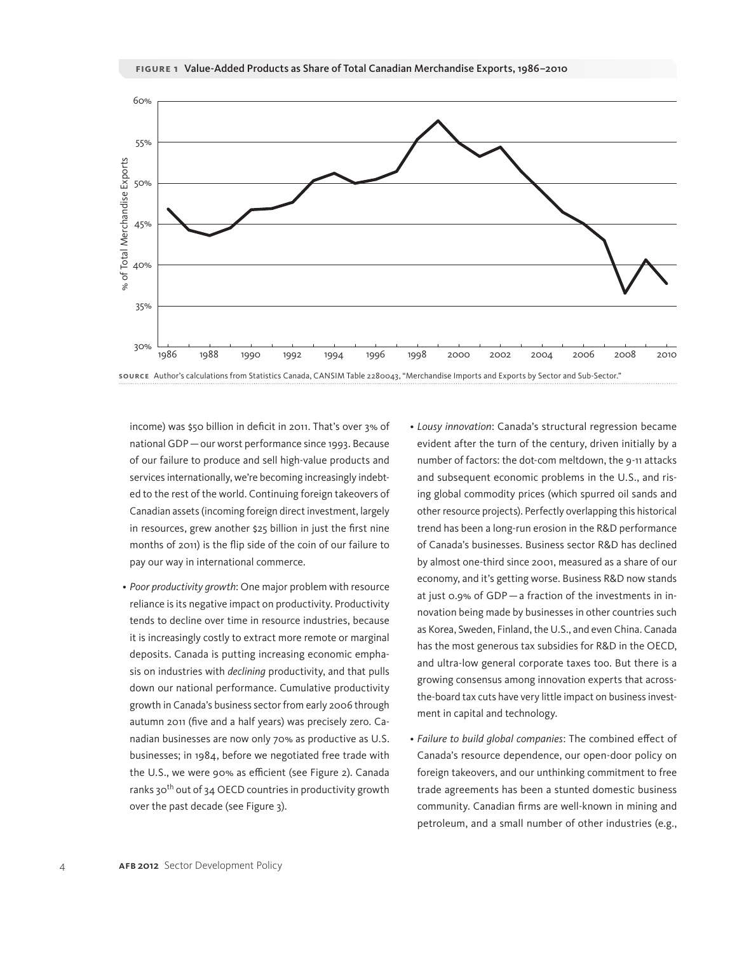

income) was \$50 billion in deficit in 2011. That's over 3% of national GDP—our worst performance since 1993. Because of our failure to produce and sell high-value products and services internationally, we're becoming increasingly indebted to the rest of the world. Continuing foreign takeovers of Canadian assets (incoming foreign direct investment, largely in resources, grew another \$25 billion in just the first nine months of 2011) is the flip side of the coin of our failure to pay our way in international commerce.

- *Poor productivity growth*: One major problem with resource reliance is its negative impact on productivity. Productivity tends to decline over time in resource industries, because it is increasingly costly to extract more remote or marginal deposits. Canada is putting increasing economic emphasis on industries with *declining* productivity, and that pulls down our national performance. Cumulative productivity growth in Canada's business sector from early 2006 through autumn 2011 (five and a half years) was precisely zero. Canadian businesses are now only 70% as productive as U.S. businesses; in 1984, before we negotiated free trade with the U.S., we were 90% as efficient (see Figure 2). Canada ranks 30<sup>th</sup> out of 34 OECD countries in productivity growth over the past decade (see Figure 3).
- • *Lousy innovation*: Canada's structural regression became evident after the turn of the century, driven initially by a number of factors: the dot-com meltdown, the 9-11 attacks and subsequent economic problems in the U.S., and rising global commodity prices (which spurred oil sands and other resource projects). Perfectly overlapping this historical trend has been a long-run erosion in the R&D performance of Canada's businesses. Business sector R&D has declined by almost one-third since 2001, measured as a share of our economy, and it's getting worse. Business R&D now stands at just 0.9% of GDP—a fraction of the investments in innovation being made by businesses in other countries such as Korea, Sweden, Finland, the U.S., and even China. Canada has the most generous tax subsidies for R&D in the OECD, and ultra-low general corporate taxes too. But there is a growing consensus among innovation experts that acrossthe-board tax cuts have very little impact on business investment in capital and technology.
- • *Failure to build global companies*: The combined effect of Canada's resource dependence, our open-door policy on foreign takeovers, and our unthinking commitment to free trade agreements has been a stunted domestic business community. Canadian firms are well-known in mining and petroleum, and a small number of other industries (e.g.,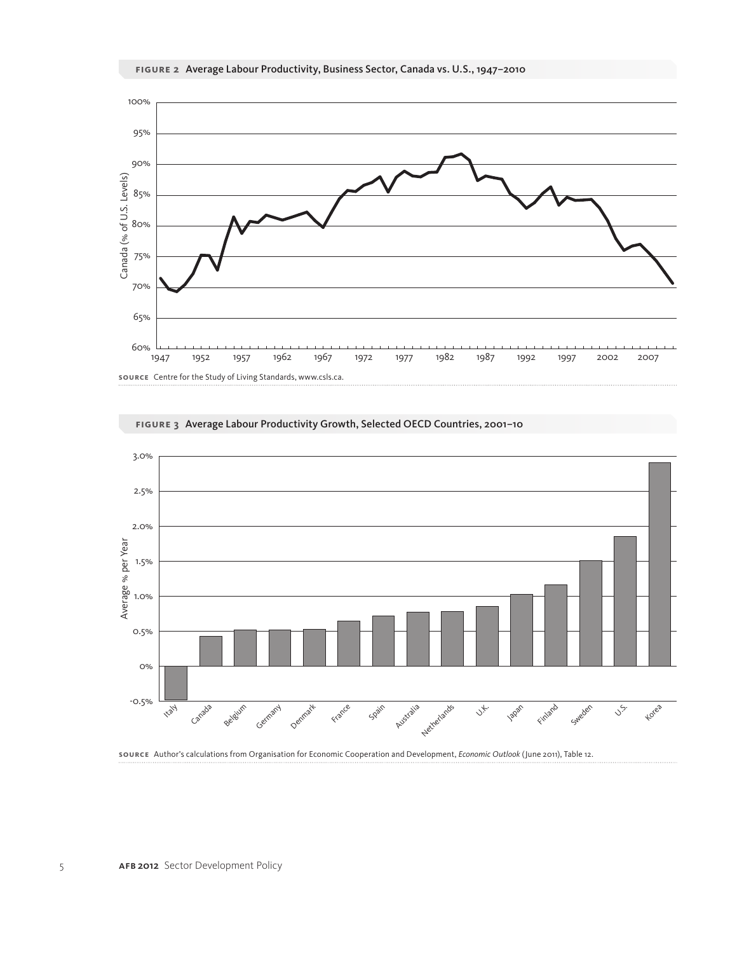





**figure 3** Average Labour Productivity Growth, Selected OECD Countries, 2001–10

**Source** Author's calculations from Organisation for Economic Cooperation and Development, *Economic Outlook* (June 2011), Table 12.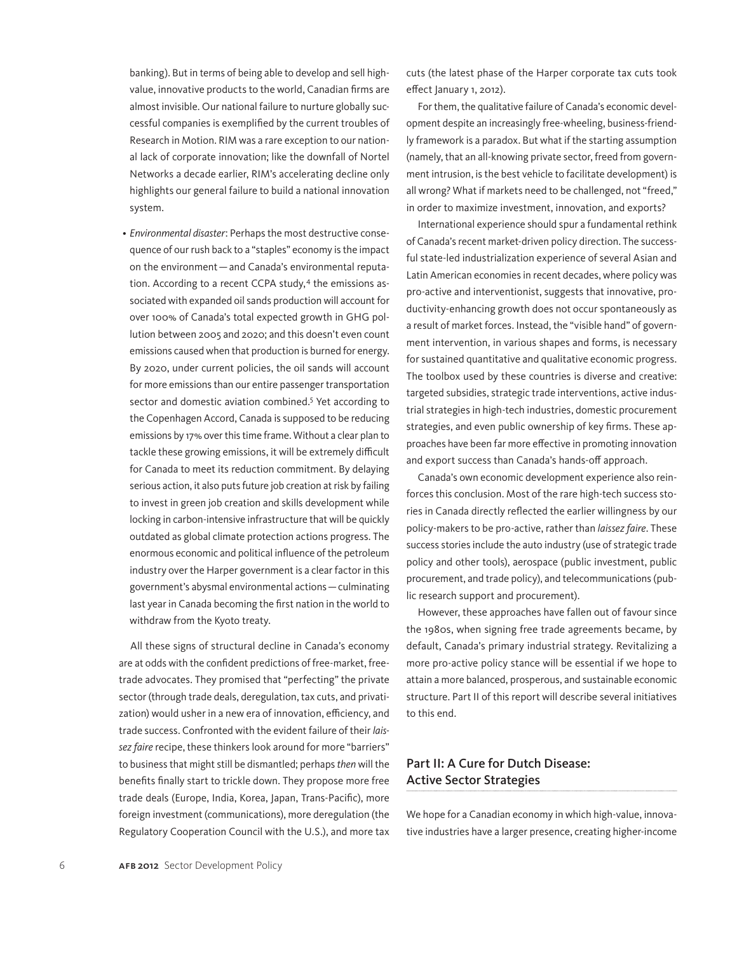banking). But in terms of being able to develop and sell highvalue, innovative products to the world, Canadian firms are almost invisible. Our national failure to nurture globally successful companies is exemplified by the current troubles of Research in Motion. RIM was a rare exception to our national lack of corporate innovation; like the downfall of Nortel Networks a decade earlier, RIM's accelerating decline only highlights our general failure to build a national innovation system.

• *Environmental disaster*: Perhaps the most destructive consequence of our rush back to a "staples" economy is the impact on the environment—and Canada's environmental reputation. According to a recent CCPA study, $4$  the emissions associated with expanded oil sands production will account for over 100% of Canada's total expected growth in GHG pollution between 2005 and 2020; and this doesn't even count emissions caused when that production is burned for energy. By 2020, under current policies, the oil sands will account for more emissions than our entire passenger transportation sector and domestic aviation combined.<sup>5</sup> Yet according to the Copenhagen Accord, Canada is supposed to be reducing emissions by 17% over this time frame. Without a clear plan to tackle these growing emissions, it will be extremely difficult for Canada to meet its reduction commitment. By delaying serious action, it also puts future job creation at risk by failing to invest in green job creation and skills development while locking in carbon-intensive infrastructure that will be quickly outdated as global climate protection actions progress. The enormous economic and political influence of the petroleum industry over the Harper government is a clear factor in this government's abysmal environmental actions—culminating last year in Canada becoming the first nation in the world to withdraw from the Kyoto treaty.

All these signs of structural decline in Canada's economy are at odds with the confident predictions of free-market, freetrade advocates. They promised that "perfecting" the private sector (through trade deals, deregulation, tax cuts, and privatization) would usher in a new era of innovation, efficiency, and trade success. Confronted with the evident failure of their *laissez faire* recipe, these thinkers look around for more "barriers" to business that might still be dismantled; perhaps *then* will the benefits finally start to trickle down. They propose more free trade deals (Europe, India, Korea, Japan, Trans-Pacific), more foreign investment (communications), more deregulation (the Regulatory Cooperation Council with the U.S.), and more tax cuts (the latest phase of the Harper corporate tax cuts took effect January 1, 2012).

For them, the qualitative failure of Canada's economic development despite an increasingly free-wheeling, business-friendly framework is a paradox. But what if the starting assumption (namely, that an all-knowing private sector, freed from government intrusion, is the best vehicle to facilitate development) is all wrong? What if markets need to be challenged, not "freed," in order to maximize investment, innovation, and exports?

International experience should spur a fundamental rethink of Canada's recent market-driven policy direction. The successful state-led industrialization experience of several Asian and Latin American economies in recent decades, where policy was pro-active and interventionist, suggests that innovative, productivity-enhancing growth does not occur spontaneously as a result of market forces. Instead, the "visible hand" of government intervention, in various shapes and forms, is necessary for sustained quantitative and qualitative economic progress. The toolbox used by these countries is diverse and creative: targeted subsidies, strategic trade interventions, active industrial strategies in high-tech industries, domestic procurement strategies, and even public ownership of key firms. These approaches have been far more effective in promoting innovation and export success than Canada's hands-off approach.

Canada's own economic development experience also reinforces this conclusion. Most of the rare high-tech success stories in Canada directly reflected the earlier willingness by our policy-makers to be pro-active, rather than *laissez faire*. These success stories include the auto industry (use of strategic trade policy and other tools), aerospace (public investment, public procurement, and trade policy), and telecommunications (public research support and procurement).

However, these approaches have fallen out of favour since the 1980s, when signing free trade agreements became, by default, Canada's primary industrial strategy. Revitalizing a more pro-active policy stance will be essential if we hope to attain a more balanced, prosperous, and sustainable economic structure. Part II of this report will describe several initiatives to this end.

### Part II: A Cure for Dutch Disease: Active Sector Strategies

We hope for a Canadian economy in which high-value, innovative industries have a larger presence, creating higher-income

6 AFB 2012 Sector Development Policy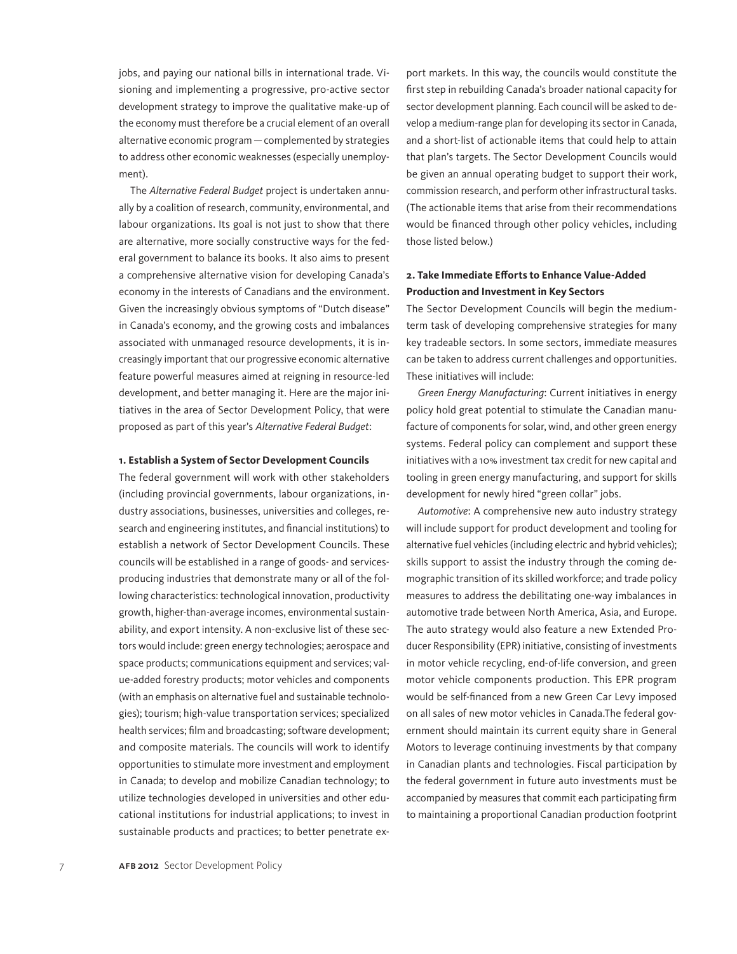jobs, and paying our national bills in international trade. Visioning and implementing a progressive, pro-active sector development strategy to improve the qualitative make-up of the economy must therefore be a crucial element of an overall alternative economic program—complemented by strategies to address other economic weaknesses (especially unemployment).

The *Alternative Federal Budget* project is undertaken annually by a coalition of research, community, environmental, and labour organizations. Its goal is not just to show that there are alternative, more socially constructive ways for the federal government to balance its books. It also aims to present a comprehensive alternative vision for developing Canada's economy in the interests of Canadians and the environment. Given the increasingly obvious symptoms of "Dutch disease" in Canada's economy, and the growing costs and imbalances associated with unmanaged resource developments, it is increasingly important that our progressive economic alternative feature powerful measures aimed at reigning in resource-led development, and better managing it. Here are the major initiatives in the area of Sector Development Policy, that were proposed as part of this year's *Alternative Federal Budget*:

#### **1. Establish a System of Sector Development Councils**

The federal government will work with other stakeholders (including provincial governments, labour organizations, industry associations, businesses, universities and colleges, research and engineering institutes, and financial institutions) to establish a network of Sector Development Councils. These councils will be established in a range of goods- and servicesproducing industries that demonstrate many or all of the following characteristics: technological innovation, productivity growth, higher-than-average incomes, environmental sustainability, and export intensity. A non-exclusive list of these sectors would include: green energy technologies; aerospace and space products; communications equipment and services; value-added forestry products; motor vehicles and components (with an emphasis on alternative fuel and sustainable technologies); tourism; high-value transportation services; specialized health services; film and broadcasting; software development; and composite materials. The councils will work to identify opportunities to stimulate more investment and employment in Canada; to develop and mobilize Canadian technology; to utilize technologies developed in universities and other educational institutions for industrial applications; to invest in sustainable products and practices; to better penetrate export markets. In this way, the councils would constitute the first step in rebuilding Canada's broader national capacity for sector development planning. Each council will be asked to develop a medium-range plan for developing its sector in Canada, and a short-list of actionable items that could help to attain that plan's targets. The Sector Development Councils would be given an annual operating budget to support their work, commission research, and perform other infrastructural tasks. (The actionable items that arise from their recommendations would be financed through other policy vehicles, including those listed below.)

#### **2. Take Immediate Efforts to Enhance Value-Added Production and Investment in Key Sectors**

The Sector Development Councils will begin the mediumterm task of developing comprehensive strategies for many key tradeable sectors. In some sectors, immediate measures can be taken to address current challenges and opportunities. These initiatives will include:

*Green Energy Manufacturing*: Current initiatives in energy policy hold great potential to stimulate the Canadian manufacture of components for solar, wind, and other green energy systems. Federal policy can complement and support these initiatives with a 10% investment tax credit for new capital and tooling in green energy manufacturing, and support for skills development for newly hired "green collar" jobs.

*Automotive*: A comprehensive new auto industry strategy will include support for product development and tooling for alternative fuel vehicles (including electric and hybrid vehicles); skills support to assist the industry through the coming demographic transition of its skilled workforce; and trade policy measures to address the debilitating one-way imbalances in automotive trade between North America, Asia, and Europe. The auto strategy would also feature a new Extended Producer Responsibility (EPR) initiative, consisting of investments in motor vehicle recycling, end-of-life conversion, and green motor vehicle components production. This EPR program would be self-financed from a new Green Car Levy imposed on all sales of new motor vehicles in Canada.The federal government should maintain its current equity share in General Motors to leverage continuing investments by that company in Canadian plants and technologies. Fiscal participation by the federal government in future auto investments must be accompanied by measures that commit each participating firm to maintaining a proportional Canadian production footprint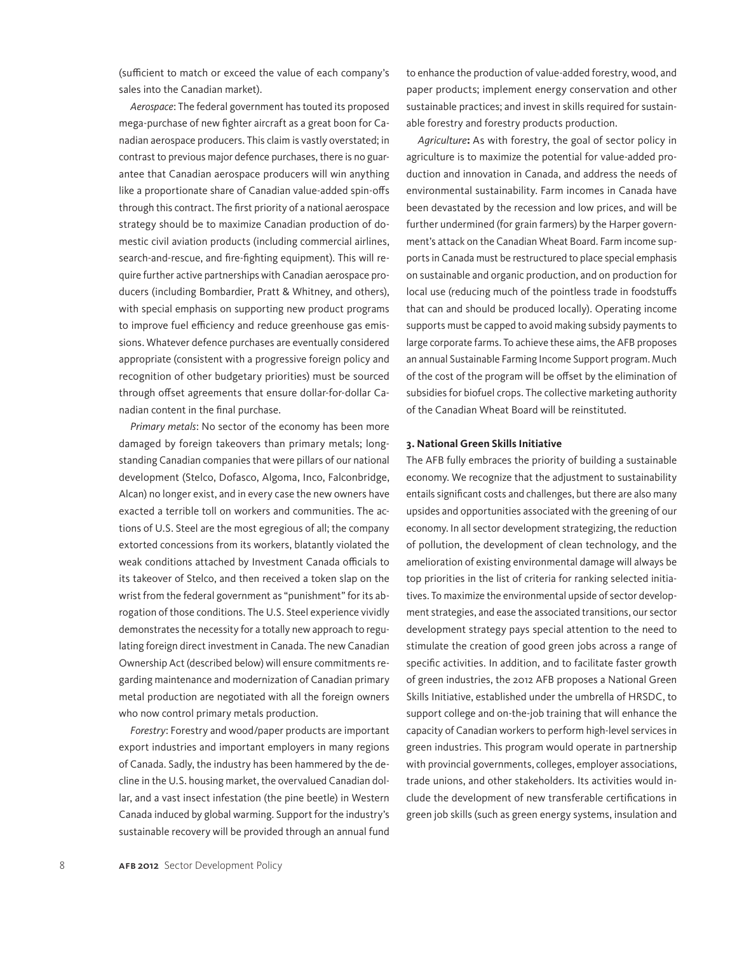(sufficient to match or exceed the value of each company's sales into the Canadian market).

*Aerospace*: The federal government has touted its proposed mega-purchase of new fighter aircraft as a great boon for Canadian aerospace producers. This claim is vastly overstated; in contrast to previous major defence purchases, there is no guarantee that Canadian aerospace producers will win anything like a proportionate share of Canadian value-added spin-offs through this contract. The first priority of a national aerospace strategy should be to maximize Canadian production of domestic civil aviation products (including commercial airlines, search-and-rescue, and fire-fighting equipment). This will require further active partnerships with Canadian aerospace producers (including Bombardier, Pratt & Whitney, and others), with special emphasis on supporting new product programs to improve fuel efficiency and reduce greenhouse gas emissions. Whatever defence purchases are eventually considered appropriate (consistent with a progressive foreign policy and recognition of other budgetary priorities) must be sourced through offset agreements that ensure dollar-for-dollar Canadian content in the final purchase.

*Primary metals*: No sector of the economy has been more damaged by foreign takeovers than primary metals; longstanding Canadian companies that were pillars of our national development (Stelco, Dofasco, Algoma, Inco, Falconbridge, Alcan) no longer exist, and in every case the new owners have exacted a terrible toll on workers and communities. The actions of U.S. Steel are the most egregious of all; the company extorted concessions from its workers, blatantly violated the weak conditions attached by Investment Canada officials to its takeover of Stelco, and then received a token slap on the wrist from the federal government as "punishment" for its abrogation of those conditions. The U.S. Steel experience vividly demonstrates the necessity for a totally new approach to regulating foreign direct investment in Canada. The new Canadian Ownership Act (described below) will ensure commitments regarding maintenance and modernization of Canadian primary metal production are negotiated with all the foreign owners who now control primary metals production.

*Forestry*: Forestry and wood/paper products are important export industries and important employers in many regions of Canada. Sadly, the industry has been hammered by the decline in the U.S. housing market, the overvalued Canadian dollar, and a vast insect infestation (the pine beetle) in Western Canada induced by global warming. Support for the industry's sustainable recovery will be provided through an annual fund

to enhance the production of value-added forestry, wood, and paper products; implement energy conservation and other sustainable practices; and invest in skills required for sustainable forestry and forestry products production.

*Agriculture***:** As with forestry, the goal of sector policy in agriculture is to maximize the potential for value-added production and innovation in Canada, and address the needs of environmental sustainability. Farm incomes in Canada have been devastated by the recession and low prices, and will be further undermined (for grain farmers) by the Harper government's attack on the Canadian Wheat Board. Farm income supports in Canada must be restructured to place special emphasis on sustainable and organic production, and on production for local use (reducing much of the pointless trade in foodstuffs that can and should be produced locally). Operating income supports must be capped to avoid making subsidy payments to large corporate farms. To achieve these aims, the AFB proposes an annual Sustainable Farming Income Support program. Much of the cost of the program will be offset by the elimination of subsidies for biofuel crops. The collective marketing authority of the Canadian Wheat Board will be reinstituted.

#### **3. National Green Skills Initiative**

The AFB fully embraces the priority of building a sustainable economy. We recognize that the adjustment to sustainability entails significant costs and challenges, but there are also many upsides and opportunities associated with the greening of our economy. In all sector development strategizing, the reduction of pollution, the development of clean technology, and the amelioration of existing environmental damage will always be top priorities in the list of criteria for ranking selected initiatives. To maximize the environmental upside of sector development strategies, and ease the associated transitions, our sector development strategy pays special attention to the need to stimulate the creation of good green jobs across a range of specific activities. In addition, and to facilitate faster growth of green industries, the 2012 AFB proposes a National Green Skills Initiative, established under the umbrella of HRSDC, to support college and on-the-job training that will enhance the capacity of Canadian workers to perform high-level services in green industries. This program would operate in partnership with provincial governments, colleges, employer associations, trade unions, and other stakeholders. Its activities would include the development of new transferable certifications in green job skills (such as green energy systems, insulation and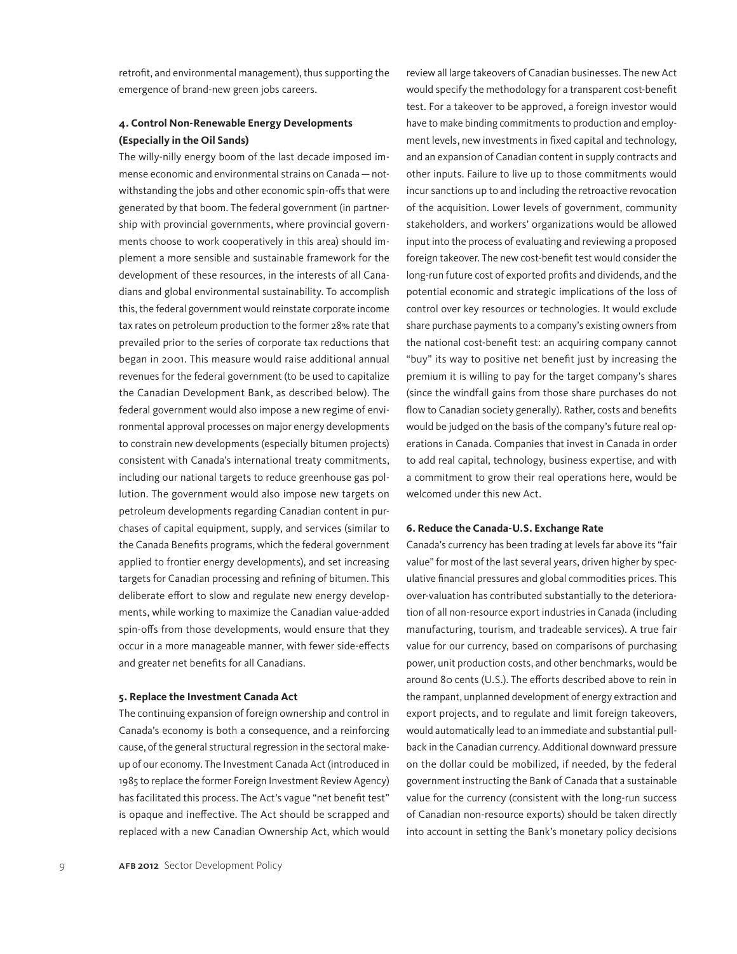retrofit, and environmental management), thus supporting the emergence of brand-new green jobs careers.

#### **4. Control Non-Renewable Energy Developments (Especially in the Oil Sands)**

The willy-nilly energy boom of the last decade imposed immense economic and environmental strains on Canada—notwithstanding the jobs and other economic spin-offs that were generated by that boom. The federal government (in partnership with provincial governments, where provincial governments choose to work cooperatively in this area) should implement a more sensible and sustainable framework for the development of these resources, in the interests of all Canadians and global environmental sustainability. To accomplish this, the federal government would reinstate corporate income tax rates on petroleum production to the former 28% rate that prevailed prior to the series of corporate tax reductions that began in 2001. This measure would raise additional annual revenues for the federal government (to be used to capitalize the Canadian Development Bank, as described below). The federal government would also impose a new regime of environmental approval processes on major energy developments to constrain new developments (especially bitumen projects) consistent with Canada's international treaty commitments, including our national targets to reduce greenhouse gas pollution. The government would also impose new targets on petroleum developments regarding Canadian content in purchases of capital equipment, supply, and services (similar to the Canada Benefits programs, which the federal government applied to frontier energy developments), and set increasing targets for Canadian processing and refining of bitumen. This deliberate effort to slow and regulate new energy developments, while working to maximize the Canadian value-added spin-offs from those developments, would ensure that they occur in a more manageable manner, with fewer side-effects and greater net benefits for all Canadians.

#### **5. Replace the Investment Canada Act**

The continuing expansion of foreign ownership and control in Canada's economy is both a consequence, and a reinforcing cause, of the general structural regression in the sectoral makeup of our economy. The Investment Canada Act (introduced in 1985 to replace the former Foreign Investment Review Agency) has facilitated this process. The Act's vague "net benefit test" is opaque and ineffective. The Act should be scrapped and replaced with a new Canadian Ownership Act, which would review all large takeovers of Canadian businesses. The new Act would specify the methodology for a transparent cost-benefit test. For a takeover to be approved, a foreign investor would have to make binding commitments to production and employment levels, new investments in fixed capital and technology, and an expansion of Canadian content in supply contracts and other inputs. Failure to live up to those commitments would incur sanctions up to and including the retroactive revocation of the acquisition. Lower levels of government, community stakeholders, and workers' organizations would be allowed input into the process of evaluating and reviewing a proposed foreign takeover. The new cost-benefit test would consider the long-run future cost of exported profits and dividends, and the potential economic and strategic implications of the loss of control over key resources or technologies. It would exclude share purchase payments to a company's existing owners from the national cost-benefit test: an acquiring company cannot "buy" its way to positive net benefit just by increasing the premium it is willing to pay for the target company's shares (since the windfall gains from those share purchases do not flow to Canadian society generally). Rather, costs and benefits would be judged on the basis of the company's future real operations in Canada. Companies that invest in Canada in order to add real capital, technology, business expertise, and with a commitment to grow their real operations here, would be welcomed under this new Act.

#### **6. Reduce the Canada-U.S. Exchange Rate**

Canada's currency has been trading at levels far above its "fair value" for most of the last several years, driven higher by speculative financial pressures and global commodities prices. This over-valuation has contributed substantially to the deterioration of all non-resource export industries in Canada (including manufacturing, tourism, and tradeable services). A true fair value for our currency, based on comparisons of purchasing power, unit production costs, and other benchmarks, would be around 80 cents (U.S.). The efforts described above to rein in the rampant, unplanned development of energy extraction and export projects, and to regulate and limit foreign takeovers, would automatically lead to an immediate and substantial pullback in the Canadian currency. Additional downward pressure on the dollar could be mobilized, if needed, by the federal government instructing the Bank of Canada that a sustainable value for the currency (consistent with the long-run success of Canadian non-resource exports) should be taken directly into account in setting the Bank's monetary policy decisions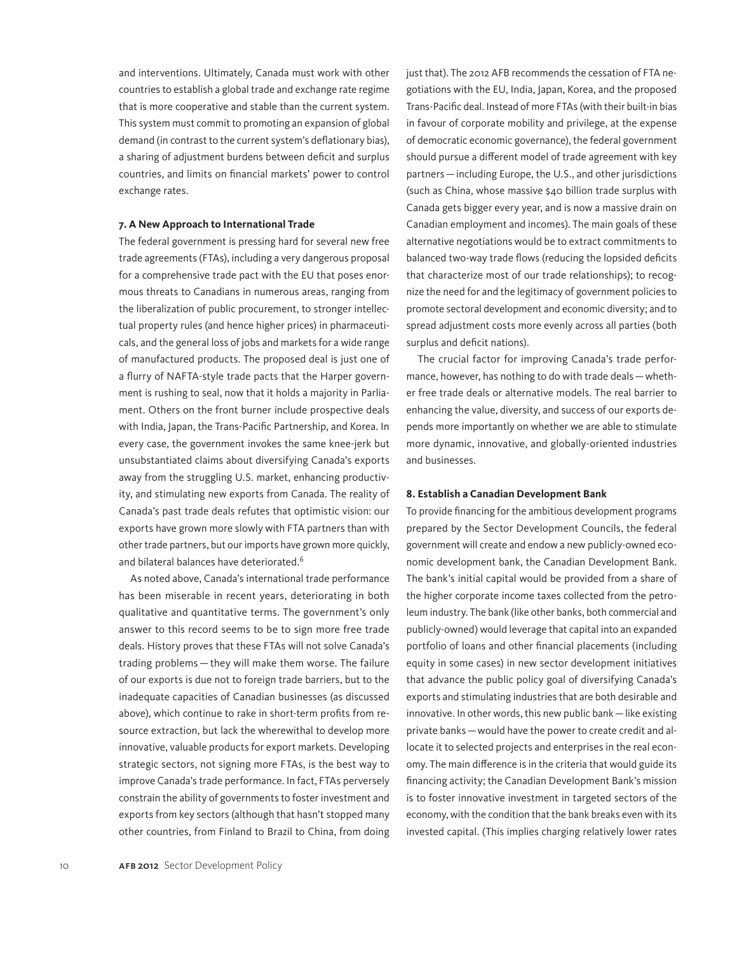and interventions. Ultimately, Canada must work with other countries to establish a global trade and exchange rate regime that is more cooperative and stable than the current system. This system must commit to promoting an expansion of global demand (in contrast to the current system's deflationary bias), a sharing of adjustment burdens between deficit and surplus countries, and limits on financial markets' power to control exchange rates.

#### **7. A New Approach to International Trade**

The federal government is pressing hard for several new free trade agreements (FTAs), including a very dangerous proposal for a comprehensive trade pact with the EU that poses enormous threats to Canadians in numerous areas, ranging from the liberalization of public procurement, to stronger intellectual property rules (and hence higher prices) in pharmaceuticals, and the general loss of jobs and markets for a wide range of manufactured products. The proposed deal is just one of a flurry of NAFTA-style trade pacts that the Harper government is rushing to seal, now that it holds a majority in Parliament. Others on the front burner include prospective deals with India, Japan, the Trans-Pacific Partnership, and Korea. In every case, the government invokes the same knee-jerk but unsubstantiated claims about diversifying Canada's exports away from the struggling U.S. market, enhancing productivity, and stimulating new exports from Canada. The reality of Canada's past trade deals refutes that optimistic vision: our exports have grown more slowly with FTA partners than with other trade partners, but our imports have grown more quickly, and bilateral balances have deteriorated.<sup>6</sup>

As noted above, Canada's international trade performance has been miserable in recent years, deteriorating in both qualitative and quantitative terms. The government's only answer to this record seems to be to sign more free trade deals. History proves that these FTAs will not solve Canada's trading problems—they will make them worse. The failure of our exports is due not to foreign trade barriers, but to the inadequate capacities of Canadian businesses (as discussed above), which continue to rake in short-term profits from resource extraction, but lack the wherewithal to develop more innovative, valuable products for export markets. Developing strategic sectors, not signing more FTAs, is the best way to improve Canada's trade performance. In fact, FTAs perversely constrain the ability of governments to foster investment and exports from key sectors (although that hasn't stopped many other countries, from Finland to Brazil to China, from doing just that). The 2012 AFB recommends the cessation of FTA negotiations with the EU, India, Japan, Korea, and the proposed Trans-Pacific deal. Instead of more FTAs (with their built-in bias in favour of corporate mobility and privilege, at the expense of democratic economic governance), the federal government should pursue a different model of trade agreement with key partners—including Europe, the U.S., and other jurisdictions (such as China, whose massive \$40 billion trade surplus with Canada gets bigger every year, and is now a massive drain on Canadian employment and incomes). The main goals of these alternative negotiations would be to extract commitments to balanced two-way trade flows (reducing the lopsided deficits that characterize most of our trade relationships); to recognize the need for and the legitimacy of government policies to promote sectoral development and economic diversity; and to spread adjustment costs more evenly across all parties (both surplus and deficit nations).

The crucial factor for improving Canada's trade performance, however, has nothing to do with trade deals—whether free trade deals or alternative models. The real barrier to enhancing the value, diversity, and success of our exports depends more importantly on whether we are able to stimulate more dynamic, innovative, and globally-oriented industries and businesses.

#### **8. Establish a Canadian Development Bank**

To provide financing for the ambitious development programs prepared by the Sector Development Councils, the federal government will create and endow a new publicly-owned economic development bank, the Canadian Development Bank. The bank's initial capital would be provided from a share of the higher corporate income taxes collected from the petroleum industry. The bank (like other banks, both commercial and publicly-owned) would leverage that capital into an expanded portfolio of loans and other financial placements (including equity in some cases) in new sector development initiatives that advance the public policy goal of diversifying Canada's exports and stimulating industries that are both desirable and innovative. In other words, this new public bank—like existing private banks—would have the power to create credit and allocate it to selected projects and enterprises in the real economy. The main difference is in the criteria that would guide its financing activity; the Canadian Development Bank's mission is to foster innovative investment in targeted sectors of the economy, with the condition that the bank breaks even with its invested capital. (This implies charging relatively lower rates